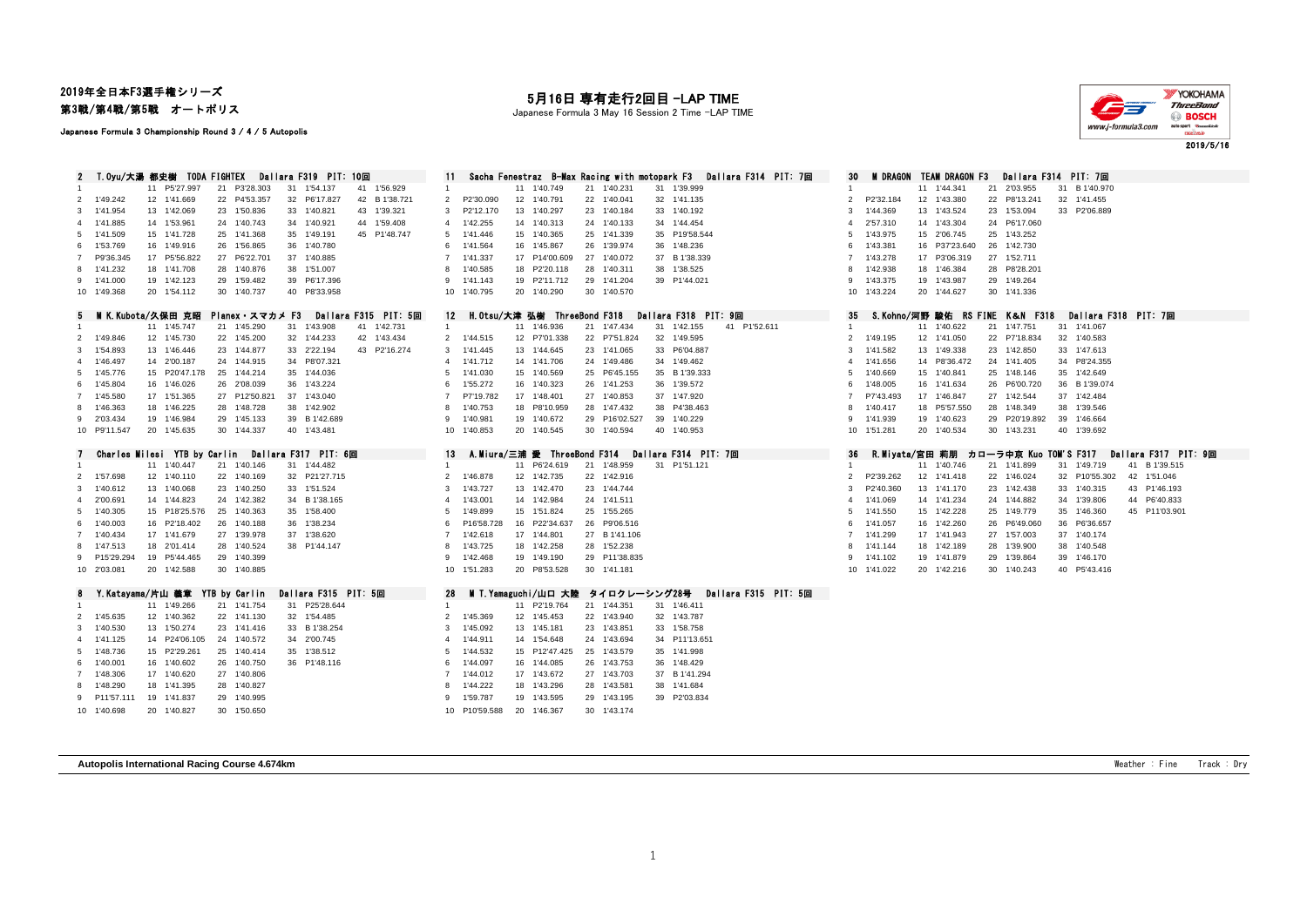## 2019年全日本F3選手権シリーズ

第3戦/第4戦/第5戦 オートポリス

#### Japanese Formula 3 Championship Round 3 / 4 / 5 Autopolis

### 月16日 専有走行2回目 -LAP TIME

Japanese Formula 3 May 16 Session 2 Time -LAP TIME



2019/5/16

|                |                            | T.Oyu/大湯 都史樹 TODA FIGHTEX  |                            | Dallara F319 PIT: 10回                               |                             |                                | Sacha Fenestraz B-Max Racing with motopark F3 | Dallara F314 PIT: 7回        | 30             |                           | M DRAGON TEAM DRAGON F3        | Dallara F314 PIT: 7回         |                      |                      |
|----------------|----------------------------|----------------------------|----------------------------|-----------------------------------------------------|-----------------------------|--------------------------------|-----------------------------------------------|-----------------------------|----------------|---------------------------|--------------------------------|------------------------------|----------------------|----------------------|
|                |                            | 11 P5'27.997               | 21 P3'28.303               | 31 1'54.137<br>41 1'56.929                          |                             | 11 1'40.749                    | 21 1'40.231                                   | 31 1'39.999                 |                |                           | 11 1'44.341                    | 21 2'03.955                  | 31 B 1'40.970        |                      |
|                | 2 1'49.242                 | 12 1'41.669                | 22 P4'53.357               | 32 P6'17.827<br>42 B 1'38.721                       | P2'30.090<br>2              | 12 1'40.791                    | 22 1'40.041                                   | 32 1'41.135                 | 2              | P2'32.184                 | 12 1'43.380                    | 22 P8'13.241                 | 32 1'41.455          |                      |
|                | 3 1'41.954                 | 13 1'42.069                | 23 1'50.836                | 33 1'40.821<br>43 1'39.321                          | P2'12.170<br>3              | 13 1'40.297                    | 23 1'40.184                                   | 33 1'40.192                 | $\mathbf{3}$   | 1'44.369                  | 13 1'43.524                    | 23 1'53.094                  | 33 P2'06.889         |                      |
|                | 4 1'41.885                 | 14 1'53.961                | 24 1'40.743                | 34 1'40.921<br>44 1'59.408                          | 1'42.255<br>$\overline{4}$  | 14 1'40.313                    | 24 1'40.133                                   | 34 1'44.454                 | $\overline{4}$ | 2'57.310                  | 14 1'43.304                    | 24 P6'17.060                 |                      |                      |
|                | 5 1'41.509                 |                            | 25 1'41.368                | 35 1'49.191<br>45 P1'48.747                         | 5 1'41.446                  | 15 1'40.365                    | 25 1'41.339                                   | 35 P19'58.544               | 5              | 1'43.975                  |                                | 25 1'43.252                  |                      |                      |
|                |                            | 15 1'41.728                |                            |                                                     |                             |                                |                                               |                             |                |                           | 15 2'06.745                    |                              |                      |                      |
| 6              | 1'53.769                   | 16 1'49.916                | 26 1'56.865                | 36 1'40.780                                         | 1'41.564<br>6               | 16 1'45.867                    | 26 1'39.974                                   | 36 1'48.236                 | 6              | 1'43.381                  | 16 P37'23.640                  | 26 1'42.730                  |                      |                      |
|                | 7 P9'36.345                | 17 P5'56.822               | 27 P6'22.701               | 37 1'40.885                                         | $\overline{7}$<br>1'41.337  | 17 P14'00.609                  | 27 1'40.072                                   | 37 B 1'38.339               | $\overline{7}$ | 1'43.278                  | 17 P3'06.319                   | 27 1'52.711                  |                      |                      |
|                | 8 1'41.232                 | 18 1'41.708                | 28 1'40.876                | 38 1'51.007                                         | 1'40.585<br>8               | 18 P2'20.118                   | 28 1'40.311                                   | 38 1'38.525                 | 8              | 1'42.938                  | 18 1'46.384                    | 28 P8'28.201                 |                      |                      |
|                | 9 1'41.000                 | 19 1'42.123                | 29 1'59.482                | 39 P6'17.396                                        | 1'41.143<br>9               | 19 P2'11.712                   | 29 1'41.204                                   | 39 P1'44.021                |                | 9 1'43.375                | 19 1'43.987                    | 29 1'49.264                  |                      |                      |
|                | 10 1'49.368                | 20 1'54.112                | 30 1'40.737                | 40 P8'33.958                                        | 10 1'40.795                 | 20 1'40.290                    | 30 1'40.570                                   |                             |                | 10 1'43.224               | 20 1'44.627                    | 30 1'41.336                  |                      |                      |
|                |                            | M K.Kubota/久保田 克昭          | Planex・スマカメ F3             | Dallara F315 PIT: 5回                                |                             | 12 H.Otsu/大津 弘樹 ThreeBond F318 |                                               | Dallara F318 PIT: 9回        | 35             |                           | S.Kohno/河野 酸佑 RS FINE K&N F318 |                              | Dallara F318 PIT: 7回 |                      |
|                |                            | 11 1'45.747                | 21 1'45.290                | 41 1'42.731<br>31 1'43.908                          | $\mathbf{1}$                | 11 1'46.936                    | 21 1'47.434                                   | 31 1'42.155<br>41 P1'52.611 |                |                           | 11 1'40.622                    | 21 1'47.751                  | 31 1'41.067          |                      |
|                | 2 1'49.846                 | 12 1'45.730                | 22 1'45.200                | 32 1'44.233<br>42 1'43.434                          | 2 1'44.515                  | 12 P7'01.338                   | 22 P7'51.824                                  | 32 1'49.595                 |                | 2 1'49.195                | 12 1'41.050                    | 22 P7'18.834                 | 32 1'40.583          |                      |
|                | 3 1'54.893                 | 13 1'46.446                | 23 1'44.877                | 33 2'22.194<br>43 P2'16.274                         | 3 1'41.445                  | 13 1'44.645                    | 23 1'41.065                                   | 33 P6'04.887                | 3              | 1'41.582                  | 13 1'49.338                    | 23 1'42.850                  | 33 1'47.613          |                      |
|                | 4 1'46.497                 | 14 2'00.187                | 24 1'44.915                | 34 P8'07.321                                        | 1'41.712<br>$\overline{4}$  | 14 1'41.706                    | 24 1'49.486                                   | 34 1'49.462                 | $\overline{4}$ | 1'41.656                  | 14 P8'36.472                   | 24 1'41.405                  | 34 P8'24.355         |                      |
|                | 5 1'45.776                 | 15 P20'47.178              | 25 1'44.214                | 35 1'44.036                                         | 5<br>1'41.030               | 15 1'40.569                    | 25 P6'45.155                                  | 35 B 1'39.333               | 5              | 1'40.669                  | 15 1'40.841                    | 25 1'48.146                  | 35 1'42.649          |                      |
|                | 6 1'45.804                 | 16 1'46.026                | 26 2'08.039                | 36 1'43.224                                         | 1'55.272<br>6               | 16 1'40.323                    | 26 1'41.253                                   | 36 1'39.572                 | 6              | 1'48.005                  | 16 1'41.634                    | 26 P6'00.720                 | 36 B 1'39.074        |                      |
|                | 7 1'45.580                 | 17 1'51.365                | 27 P12'50.821              | 37 1'43.040                                         | P7'19.782<br>$\overline{7}$ | 17 1'48.401                    | 27 1'40.853                                   | 37 1'47.920                 | $\overline{7}$ | P7'43.493                 | 17 1'46.847                    | 27 1'42.544                  | 37 1'42.484          |                      |
|                | 8 1'46.363                 | 18 1'46.225                | 28 1'48.728                | 38 1'42.902                                         | 1'40.753<br>8               | 18 P8'10.959                   | 28 1'47.432                                   | 38 P4'38.463                | 8              | 1'40.417                  | 18 P5'57.550                   | 28 1'48.349                  | 38 1'39.546          |                      |
|                |                            |                            |                            |                                                     | 1'40.981<br>9               |                                |                                               | 39 1'40.229                 |                |                           |                                |                              | 39 1'46.664          |                      |
|                | 9 2'03.434<br>10 P9'11.547 | 19 1'46.984<br>20 1'45.635 | 29 1'45.133<br>30 1'44.337 | 39 B 1'42.689<br>40 1'43.481                        | 10 1'40.853                 | 19 1'40.672<br>20 1'40.545     | 29 P16'02.527<br>30 1'40.594                  | 40 1'40.953                 |                | 9 1'41.939<br>10 1'51.281 | 19 1'40.623<br>20 1'40.534     | 29 P20'19.892<br>30 1'43.231 | 40 1'39.692          |                      |
|                |                            |                            |                            |                                                     |                             |                                |                                               |                             |                |                           |                                |                              |                      |                      |
|                |                            |                            |                            |                                                     |                             |                                |                                               |                             |                |                           |                                |                              |                      |                      |
|                |                            |                            |                            | Charles Milesi YTB by Carlin – Dallara F317 PIT: 6回 | 13                          | A.Miura/三浦 愛 ThreeBond F314    |                                               | Dallara F314 PIT: 7回        | 36             | R.Mivata/宮田 莉朋            |                                | カローラ中京 Kuo TOM'S F317        |                      | Dallara F317 PIT: 9回 |
| $\overline{1}$ |                            | 11 1'40.447                | 21 1'40.146                | 31 1'44.482                                         |                             | 11 P6'24.619                   | 21 1'48.959                                   | 31 P1'51.121                | $\overline{1}$ |                           | 11 1'40.746                    | 21 1'41.899                  | 31 1'49.719          | 41 B 1'39.515        |
|                | 1'57.698                   | 12 1'40.110                | 22 1'40.169                | 32 P21'27.715                                       | 1'46.878<br>2               | 12 1'42.735                    | 22 1'42.916                                   |                             | $\mathfrak{p}$ | P2'39.262                 | 12 1'41.418                    | 22 1'46.024                  | 32 P10'55.302        | 42 1'51.046          |
|                | 3 1'40.612                 | 13 1'40.068                | 23 1'40.250                | 33 1'51.524                                         | 1'43.727<br>3               | 13 1'42.470                    | 23 1'44.744                                   |                             | 3              | P2'40.360                 | 13 1'41.170                    | 23 1'42.438                  | 33 1'40.315          | 43 P1'46.193         |
|                | 4 2'00.691                 | 14 1'44.823                | 24 1'42.382                | 34 B 1'38.165                                       | 1'43.001<br>$\overline{4}$  | 14 1'42.984                    | 24 1'41.511                                   |                             | $\overline{4}$ | 1'41.069                  | 14 1'41.234                    | 24 1'44.882                  | 34 1'39.806          | 44 P6'40.833         |
|                | 5 1'40.305                 | 15 P18'25.576              | 25 1'40.363                | 35 1'58.400                                         | 1'49.899<br>-5              | 15 1'51.824                    | 25 1'55.265                                   |                             | 5              | 1'41.550                  | 15 1'42.228                    | 25 1'49.779                  | 35 1'46.360          | 45 P11'03.901        |
|                | 6 1'40.003                 | 16 P2'18.402               | 26 1'40.188                | 36 1'38.234                                         | 6<br>P16'58.728             | 16 P22'34.637                  | 26 P9'06.516                                  |                             | 6              | 1'41.057                  | 16 1'42.260                    | 26 P6'49.060                 | 36 P6'36.657         |                      |
|                | 7 1'40.434                 | 17 1'41.679                | 27 1'39.978                | 37 1'38.620                                         | 7 1'42.618                  | 17 1'44.801                    | 27 B 1'41.106                                 |                             |                | 1'41.299                  | 17 1'41.943                    | 27 1'57.003                  | 37 1'40.174          |                      |
|                | 8 1'47.513                 | 18 2'01.414                | 28 1'40.524                | 38 P1'44.147                                        | 1'43.725<br>8               | 18 1'42.258                    | 28 1'52.238                                   |                             | 8              | 1'41.144                  | 18 1'42.189                    | 28 1'39.900                  | 38 1'40.548          |                      |
|                | 9 P15'29.294               | 19 P5'44.465               | 29 1'40.399                |                                                     | 1'42.468<br>9               | 19 1'49.190                    | 29 P11'38.835                                 |                             |                | 9 1'41.102                | 19 1'41.879                    | 29 1'39.864                  | 39 1'46.170          |                      |
|                | 10 2'03.081                | 20 1'42.588                | 30 1'40.885                |                                                     | 10 1'51.283                 | 20 P8'53.528                   | 30 1'41.181                                   |                             |                | 10 1'41.022               | 20 1'42.216                    | 30 1'40.243                  | 40 P5'43.416         |                      |
|                |                            |                            |                            |                                                     |                             |                                |                                               |                             |                |                           |                                |                              |                      |                      |
|                |                            | Y.Katayama/片山 義章           | YTB by Carlin              | Dallara F315 PIT: 5回                                | 28                          | M T.Yamaguchi/山口 大陸            | タイロクレーシング28号                                  | Dallara F315 PIT: 5回        |                |                           |                                |                              |                      |                      |
|                |                            | 11 1'49.266                | 21 1'41.754                | 31 P25'28.644                                       |                             | 11 P2'19.764                   | 21 1'44.351                                   | 31 1'46.411                 |                |                           |                                |                              |                      |                      |
|                | 2 1'45.635                 | 12 1'40.362                | 22 1'41.130                | 32 1'54.485                                         | 1'45.369<br>$\overline{2}$  | 12 1'45.453                    | 22 1'43.940                                   | 32 1'43.787                 |                |                           |                                |                              |                      |                      |
|                | 3 1'40.530                 | 13 1'50.274                | 23 1'41.416                | 33 B 1'38.254                                       | 1'45.092<br>3               | 13 1'45.181                    | 23 1'43.851                                   | 33 1'58.758                 |                |                           |                                |                              |                      |                      |
|                | 4 1'41.125                 | 14 P24'06.105              | 24 1'40.572                | 34 2'00.745                                         | 1'44.911<br>$\overline{a}$  | 14 1'54.648                    | 24 1'43.694                                   | 34 P11'13.651               |                |                           |                                |                              |                      |                      |
|                | 5 1'48.736                 | 15 P2'29.261               | 25 1'40.414                | 35 1'38.512                                         | 1'44.532<br>5               | 15 P12'47.425                  | 25 1'43.579                                   | 35 1'41.998                 |                |                           |                                |                              |                      |                      |
|                | 6 1'40.001                 | 16 1'40.602                | 26 1'40.750                | 36 P1'48.116                                        | 1'44.097<br>6               | 16 1'44.085                    | 26 1'43.753                                   | 36 1'48.429                 |                |                           |                                |                              |                      |                      |
|                | 7 1'48.306                 | 17 1'40.620                | 27 1'40.806                |                                                     | 1'44.012<br>$\overline{7}$  | 17 1'43.672                    | 27 1'43.703                                   | 37 B 1'41.294               |                |                           |                                |                              |                      |                      |
|                | 8 1'48.290                 | 18<br>1'41.395             | 28 1'40.827                |                                                     | 1'44.222<br>8               | 18 1'43.296                    | 28 1'43.581                                   | 38 1'41.684                 |                |                           |                                |                              |                      |                      |
|                | 9 P11'57.111               | 19 1'41.837                | 29 1'40.995                |                                                     | 9 1'59.787                  | 19 1'43.595                    | 29 1'43.195                                   | 39 P2'03.834                |                |                           |                                |                              |                      |                      |

**Autopolis International Racing Course 4.674km The Course 1.574km Course 4.674km Weather : Fine Track : Dry**